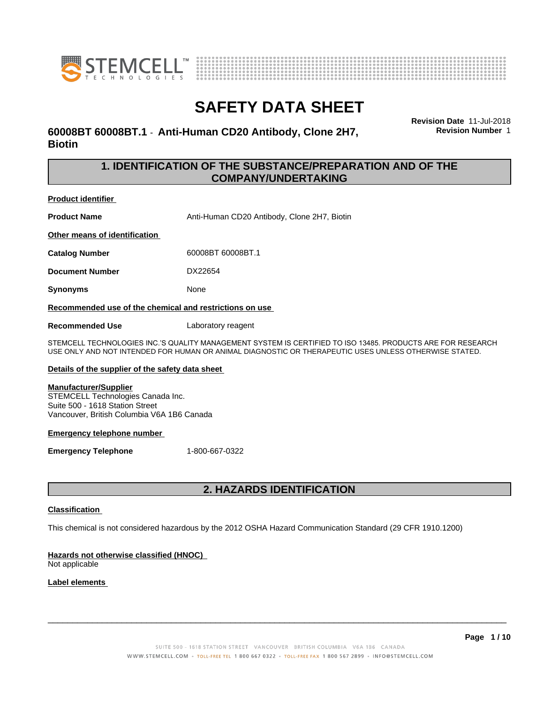



## **60008BT 60008BT.1** - **Anti-Human CD20 Antibody, Clone 2H7, Biotin**

**Revision Date** 11-Jul-2018 **Revision Number** 1

## **1. IDENTIFICATION OF THE SUBSTANCE/PREPARATION AND OF THE COMPANY/UNDERTAKING**

**Product identifier**

**Product Name** Anti-Human CD20 Antibody, Clone 2H7, Biotin

**Other means of identification**

**Catalog Number** 60008BT 60008BT.1

**Document Number** DX22654

**Synonyms** None

**Recommended use of the chemical and restrictions on use**

**Recommended Use** Laboratory reagent

STEMCELL TECHNOLOGIES INC.'S QUALITY MANAGEMENT SYSTEM IS CERTIFIED TO ISO 13485. PRODUCTS ARE FOR RESEARCH USE ONLY AND NOT INTENDED FOR HUMAN OR ANIMAL DIAGNOSTIC OR THERAPEUTIC USES UNLESS OTHERWISE STATED.

### **Details of the supplier of the safety data sheet**

### **Manufacturer/Supplier**

STEMCELL Technologies Canada Inc. Suite 500 - 1618 Station Street Vancouver, British Columbia V6A 1B6 Canada

### **Emergency telephone number**

**Emergency Telephone** 1-800-667-0322

## **2. HAZARDS IDENTIFICATION**

### **Classification**

This chemical is not considered hazardous by the 2012 OSHA Hazard Communication Standard (29 CFR 1910.1200)

## **Hazards not otherwise classified (HNOC)**

Not applicable

## **Label elements**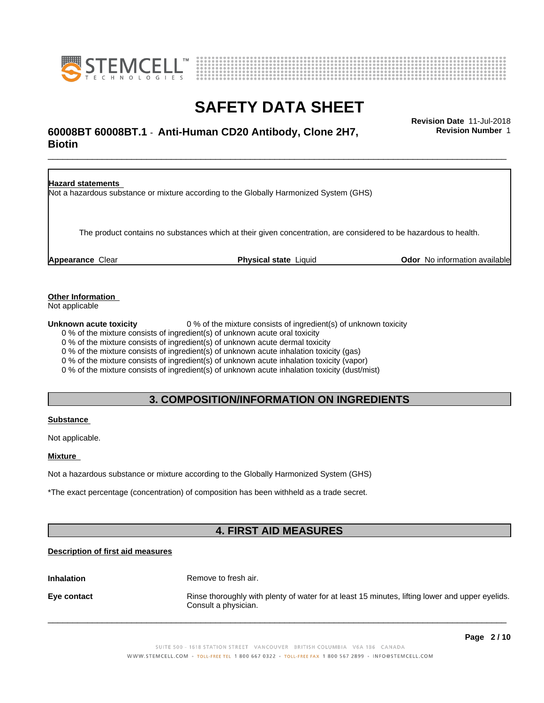



## \_\_\_\_\_\_\_\_\_\_\_\_\_\_\_\_\_\_\_\_\_\_\_\_\_\_\_\_\_\_\_\_\_\_\_\_\_\_\_\_\_\_\_\_\_\_\_\_\_\_\_\_\_\_\_\_\_\_\_\_\_\_\_\_\_\_\_\_\_\_\_\_\_\_\_\_\_\_\_\_\_\_\_\_\_\_\_\_\_\_\_\_\_ **Revision Date** 11-Jul-2018 **60008BT 60008BT.1** - **Anti-Human CD20 Antibody, Clone 2H7, Biotin**

**Revision Number** 1

**Hazard statements** Not a hazardous substance or mixture according to the Globally Harmonized System (GHS) The product contains no substances which at their given concentration, are considered to be hazardous to health. **Appearance** Clear **Physical state** Liquid **Odor** No information available

**Other Information**

Not applicable

**Unknown acute toxicity** 0 % of the mixture consists of ingredient(s) of unknown toxicity

0 % of the mixture consists of ingredient(s) of unknown acute oral toxicity

0 % of the mixture consists of ingredient(s) of unknown acute dermal toxicity

0 % of the mixture consists of ingredient(s) of unknown acute inhalation toxicity (gas)

0 % of the mixture consists of ingredient(s) of unknown acute inhalation toxicity (vapor)

0 % of the mixture consists of ingredient(s) of unknown acute inhalation toxicity (dust/mist)

## **3. COMPOSITION/INFORMATION ON INGREDIENTS**

### **Substance**

Not applicable.

### **Mixture**

Not a hazardous substance or mixture according to the Globally Harmonized System (GHS)

\*The exact percentage (concentration) of composition has been withheld as a trade secret.

## **4. FIRST AID MEASURES**

## **Description of first aid measures**

**Inhalation** Remove to fresh air.

**Eye contact Rinse thoroughly with plenty of water for at least 15 minutes, lifting lower and upper eyelids.** Consult a physician.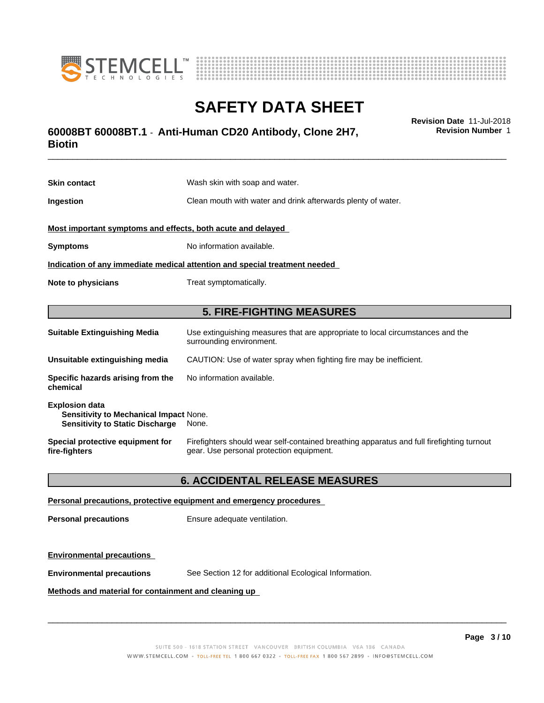



## \_\_\_\_\_\_\_\_\_\_\_\_\_\_\_\_\_\_\_\_\_\_\_\_\_\_\_\_\_\_\_\_\_\_\_\_\_\_\_\_\_\_\_\_\_\_\_\_\_\_\_\_\_\_\_\_\_\_\_\_\_\_\_\_\_\_\_\_\_\_\_\_\_\_\_\_\_\_\_\_\_\_\_\_\_\_\_\_\_\_\_\_\_ **Revision Date** 11-Jul-2018 **60008BT 60008BT.1** - **Anti-Human CD20 Antibody, Clone 2H7, Biotin**

**Skin contact** Wash skin with soap and water. **Ingestion Clean mouth with water and drink afterwards plenty of water. Most important symptoms and effects, both acute and delayed Symptoms** No information available. **Indication of any immediate medical attention and special treatment needed Note to physicians** Treat symptomatically. **5. FIRE-FIGHTING MEASURES Suitable Extinguishing Media** Use extinguishing measures that are appropriate to local circumstances and the surrounding environment. **Unsuitable extinguishing media** CAUTION: Use of water spray when fighting fire may be inefficient. **Specific hazards arising from the chemical** No information available. **Explosion data Sensitivity to Mechanical Impact** None. **Sensitivity to Static Discharge** None.

**Special protective equipment for fire-fighters** Firefighters should wear self-contained breathing apparatus and full firefighting turnout gear. Use personal protection equipment.

## **6. ACCIDENTAL RELEASE MEASURES**

### **Personal precautions, protective equipment and emergency procedures**

**Personal precautions** Ensure adequate ventilation.

### **Environmental precautions**

**Environmental precautions** See Section 12 for additional Ecological Information.

### **Methods and material for containment and cleaning up**

**Page 3 / 10**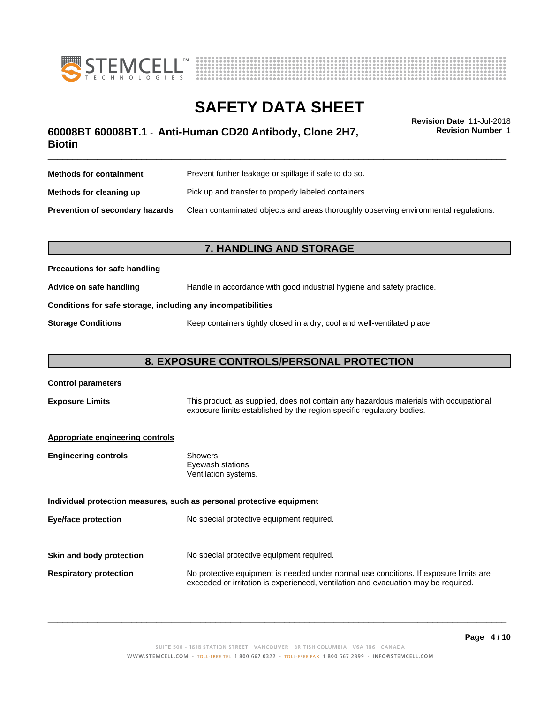



## \_\_\_\_\_\_\_\_\_\_\_\_\_\_\_\_\_\_\_\_\_\_\_\_\_\_\_\_\_\_\_\_\_\_\_\_\_\_\_\_\_\_\_\_\_\_\_\_\_\_\_\_\_\_\_\_\_\_\_\_\_\_\_\_\_\_\_\_\_\_\_\_\_\_\_\_\_\_\_\_\_\_\_\_\_\_\_\_\_\_\_\_\_ **Revision Date** 11-Jul-2018 **60008BT 60008BT.1** - **Anti-Human CD20 Antibody, Clone 2H7, Biotin**

**Revision Number** 1

| <b>Methods for containment</b>         | Prevent further leakage or spillage if safe to do so.                                |
|----------------------------------------|--------------------------------------------------------------------------------------|
| Methods for cleaning up                | Pick up and transfer to properly labeled containers.                                 |
| <b>Prevention of secondary hazards</b> | Clean contaminated objects and areas thoroughly observing environmental regulations. |

## **7. HANDLING AND STORAGE**

## **Precautions for safe handling**

**Advice on safe handling** Handle in accordance with good industrial hygiene and safety practice.

## **Conditions for safe storage, including any incompatibilities**

**Storage Conditions** Keep containers tightly closed in a dry, cool and well-ventilated place.

## **8. EXPOSURE CONTROLS/PERSONAL PROTECTION**

| <b>Control parameters</b>               |                                                                                                                                                                             |
|-----------------------------------------|-----------------------------------------------------------------------------------------------------------------------------------------------------------------------------|
| <b>Exposure Limits</b>                  | This product, as supplied, does not contain any hazardous materials with occupational<br>exposure limits established by the region specific regulatory bodies.              |
| <b>Appropriate engineering controls</b> |                                                                                                                                                                             |
| <b>Engineering controls</b>             | Showers<br>Eyewash stations<br>Ventilation systems.                                                                                                                         |
|                                         | Individual protection measures, such as personal protective equipment                                                                                                       |
| Eye/face protection                     | No special protective equipment required.                                                                                                                                   |
| Skin and body protection                | No special protective equipment required.                                                                                                                                   |
|                                         |                                                                                                                                                                             |
| <b>Respiratory protection</b>           | No protective equipment is needed under normal use conditions. If exposure limits are<br>exceeded or irritation is experienced, ventilation and evacuation may be required. |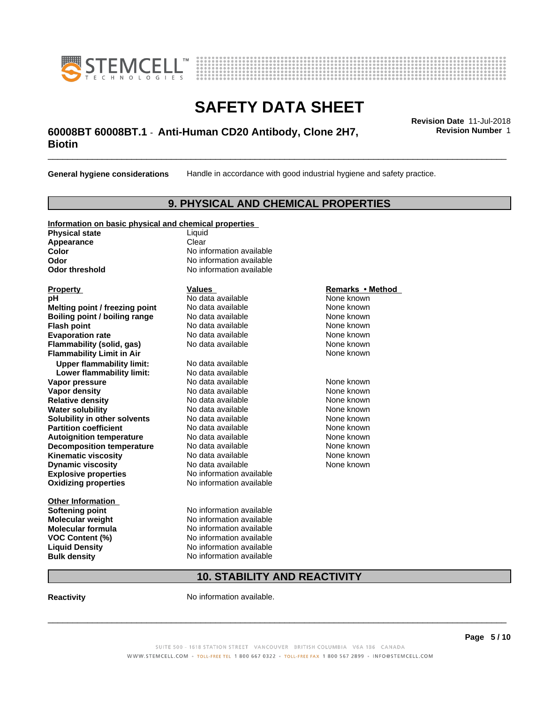



## \_\_\_\_\_\_\_\_\_\_\_\_\_\_\_\_\_\_\_\_\_\_\_\_\_\_\_\_\_\_\_\_\_\_\_\_\_\_\_\_\_\_\_\_\_\_\_\_\_\_\_\_\_\_\_\_\_\_\_\_\_\_\_\_\_\_\_\_\_\_\_\_\_\_\_\_\_\_\_\_\_\_\_\_\_\_\_\_\_\_\_\_\_ **Revision Date** 11-Jul-2018 **60008BT 60008BT.1** - **Anti-Human CD20 Antibody, Clone 2H7, Biotin**

**General hygiene considerations** Handle in accordance with good industrial hygiene and safety practice.

## **9. PHYSICAL AND CHEMICAL PROPERTIES**

## **Information on basic physical and chemical properties**

**Physical state** Liquid **Appearance** Clear<br> **Color** No inf

### **Explosive properties**<br> **Oxidizing properties**<br>
No information available **Oxidizing properties Property Remarks •Method Property Remarks •Method pH** No data available None known<br> **Melting point / freezing point** No data available None known **Melting point / freezing point** No data available None known<br> **Boiling point / boiling range** No data available None known **Boiling point / boiling range Flash point No data available None known Evaporation rate Cone Cone Access Mode to Access 10 and 7 and 7 and 7 and 7 and 7 and 7 and 7 and 7 and 7 and 7 and 7 and 7 and 7 and 7 and 7 and 7 and 7 and 7 and 7 and 7 and 7 and 7 and 7 and 7 and 7 and 7 and 7 and 7 Flammability (solid, gas)** No data available None known **Flammability Limit in Air Air 1988 1999 <b>1999 1999 <b>1999 1999 1999 1999 1999 1999 1999 1999 1999 1999 1999 1999 1999 1999 1999 1999 1999 1999 1999 1999 1999 1999 1999 Upper flammability limit:** No data available **Lower flammability limit:** No data available **Vapor pressure No data available None known Vapor density No data available and the Shown Relative density and the None known Relative density and None known Relative density No data available and the Shown None known**<br> **Water solubility No data available None known None known Water solubility Solubility in other solvents** No data available **None known**<br> **Partition coefficient** No data available None known<br>
None known **Partition coefficient**<br> **Autoignition temperature**<br>
No data available None None known<br>
None known **Autoignition temperature** Mo data available Mone known<br> **Decomposition temperature** No data available None known **Decomposition temperature** No data available<br> **Kinematic viscosity** No data available **Kinematic viscosity No data available None known**<br> **Notata available None known**<br>
Notata available **None known Dynamic viscosity No data available None known**

**Other Information Softening point** No information available **VOC** Content (%)

**No information available Odor** No information available **Odor threshold** No information available

**Molecular weight** No information available **Molecular formula No information available**<br>**VOC Content (%)** No information available **Liquid Density** No information available **Bulk density** No information available

## **10. STABILITY AND REACTIVITY**

**Reactivity No information available.** 

 $\overline{\phantom{a}}$  ,  $\overline{\phantom{a}}$  ,  $\overline{\phantom{a}}$  ,  $\overline{\phantom{a}}$  ,  $\overline{\phantom{a}}$  ,  $\overline{\phantom{a}}$  ,  $\overline{\phantom{a}}$  ,  $\overline{\phantom{a}}$  ,  $\overline{\phantom{a}}$  ,  $\overline{\phantom{a}}$  ,  $\overline{\phantom{a}}$  ,  $\overline{\phantom{a}}$  ,  $\overline{\phantom{a}}$  ,  $\overline{\phantom{a}}$  ,  $\overline{\phantom{a}}$  ,  $\overline{\phantom{a}}$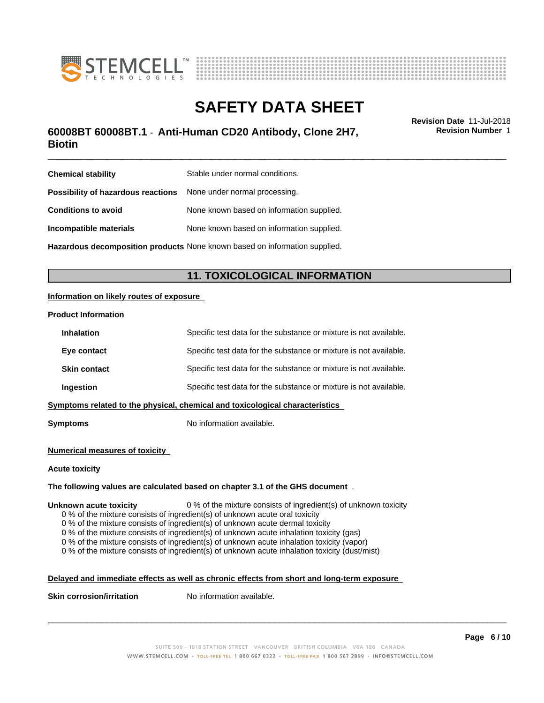



## \_\_\_\_\_\_\_\_\_\_\_\_\_\_\_\_\_\_\_\_\_\_\_\_\_\_\_\_\_\_\_\_\_\_\_\_\_\_\_\_\_\_\_\_\_\_\_\_\_\_\_\_\_\_\_\_\_\_\_\_\_\_\_\_\_\_\_\_\_\_\_\_\_\_\_\_\_\_\_\_\_\_\_\_\_\_\_\_\_\_\_\_\_ **Revision Date** 11-Jul-2018 **60008BT 60008BT.1** - **Anti-Human CD20 Antibody, Clone 2H7, Biotin**

**Chemical stability** Stable under normal conditions. **Possibility of hazardous reactions** None under normal processing. **Conditions to avoid** None known based on information supplied. **Incompatible materials** None known based on information supplied.

**Hazardous decomposition products** None known based on information supplied.

## **11. TOXICOLOGICAL INFORMATION**

### **Information on likely routes of exposure**

### **Product Information**

| <b>Inhalation</b>   | Specific test data for the substance or mixture is not available.            |
|---------------------|------------------------------------------------------------------------------|
| Eye contact         | Specific test data for the substance or mixture is not available.            |
| <b>Skin contact</b> | Specific test data for the substance or mixture is not available.            |
| Ingestion           | Specific test data for the substance or mixture is not available.            |
|                     | Symptoms related to the physical, chemical and toxicological characteristics |
|                     |                                                                              |

**Symptoms** No information available.

### **Numerical measures of toxicity**

### **Acute toxicity**

## **The following values are calculated based on chapter 3.1 of the GHS document** .

### **Unknown acute toxicity** 0 % of the mixture consists of ingredient(s) of unknown toxicity

0 % of the mixture consists of ingredient(s) of unknown acute oral toxicity

0 % of the mixture consists of ingredient(s) of unknown acute dermal toxicity

0 % of the mixture consists of ingredient(s) of unknown acute inhalation toxicity (gas)

0 % of the mixture consists of ingredient(s) of unknown acute inhalation toxicity (vapor)

0 % of the mixture consists of ingredient(s) of unknown acute inhalation toxicity (dust/mist)

## **Delayed and immediate effects as well as chronic effects from short and long-term exposure**

**Skin corrosion/irritation** No information available.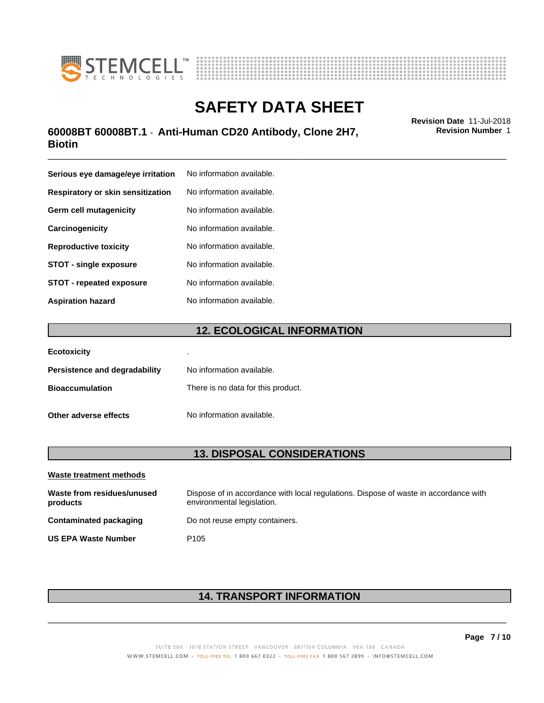



## \_\_\_\_\_\_\_\_\_\_\_\_\_\_\_\_\_\_\_\_\_\_\_\_\_\_\_\_\_\_\_\_\_\_\_\_\_\_\_\_\_\_\_\_\_\_\_\_\_\_\_\_\_\_\_\_\_\_\_\_\_\_\_\_\_\_\_\_\_\_\_\_\_\_\_\_\_\_\_\_\_\_\_\_\_\_\_\_\_\_\_\_\_ **Revision Date** 11-Jul-2018 **60008BT 60008BT.1** - **Anti-Human CD20 Antibody, Clone 2H7, Biotin**

| Serious eye damage/eye irritation | No information available. |
|-----------------------------------|---------------------------|
| Respiratory or skin sensitization | No information available. |
| Germ cell mutagenicity            | No information available. |
| Carcinogenicity                   | No information available. |
| <b>Reproductive toxicity</b>      | No information available. |
| <b>STOT - single exposure</b>     | No information available. |
| <b>STOT - repeated exposure</b>   | No information available. |
| <b>Aspiration hazard</b>          | No information available. |

## **12. ECOLOGICAL INFORMATION**

| <b>Ecotoxicity</b>            | ٠                                  |
|-------------------------------|------------------------------------|
| Persistence and degradability | No information available.          |
| <b>Bioaccumulation</b>        | There is no data for this product. |
| Other adverse effects         | No information available.          |

## **13. DISPOSAL CONSIDERATIONS**

| Waste treatment methods                |                                                                                                                    |
|----------------------------------------|--------------------------------------------------------------------------------------------------------------------|
| Waste from residues/unused<br>products | Dispose of in accordance with local regulations. Dispose of waste in accordance with<br>environmental legislation. |
| Contaminated packaging                 | Do not reuse empty containers.                                                                                     |
| <b>US EPA Waste Number</b>             | P <sub>105</sub>                                                                                                   |

## **14. TRANSPORT INFORMATION**

 $\overline{\phantom{a}}$  ,  $\overline{\phantom{a}}$  ,  $\overline{\phantom{a}}$  ,  $\overline{\phantom{a}}$  ,  $\overline{\phantom{a}}$  ,  $\overline{\phantom{a}}$  ,  $\overline{\phantom{a}}$  ,  $\overline{\phantom{a}}$  ,  $\overline{\phantom{a}}$  ,  $\overline{\phantom{a}}$  ,  $\overline{\phantom{a}}$  ,  $\overline{\phantom{a}}$  ,  $\overline{\phantom{a}}$  ,  $\overline{\phantom{a}}$  ,  $\overline{\phantom{a}}$  ,  $\overline{\phantom{a}}$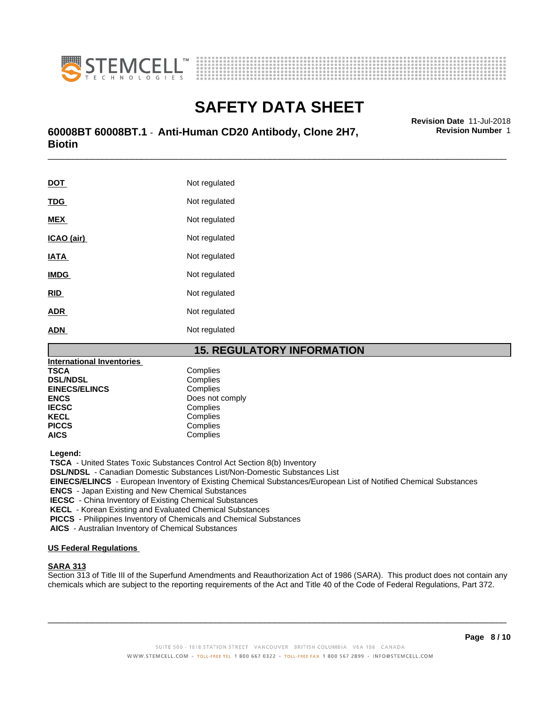



# **SAFETY DATA SHEET**<br>Revision Date 11-Jul-2018

## \_\_\_\_\_\_\_\_\_\_\_\_\_\_\_\_\_\_\_\_\_\_\_\_\_\_\_\_\_\_\_\_\_\_\_\_\_\_\_\_\_\_\_\_\_\_\_\_\_\_\_\_\_\_\_\_\_\_\_\_\_\_\_\_\_\_\_\_\_\_\_\_\_\_\_\_\_\_\_\_\_\_\_\_\_\_\_\_\_\_\_\_\_ **Revision Date** 11-Jul-2018 **60008BT 60008BT.1** - **Anti-Human CD20 Antibody, Clone 2H7, Biotin**

**DOT** Not regulated **TDG** Not regulated **MEX** Not regulated **ICAO** (air) Not regulated **IATA** Not regulated **IMDG** Not regulated **RID** Not regulated **ADR** Not regulated **ADN** Not regulated

## **15. REGULATORY INFORMATION**

| <b>International Inventories</b> |                 |
|----------------------------------|-----------------|
| TSCA                             | Complies        |
| <b>DSL/NDSL</b>                  | Complies        |
| <b>EINECS/ELINCS</b>             | Complies        |
| <b>ENCS</b>                      | Does not comply |
| <b>IECSC</b>                     | Complies        |
| <b>KECL</b>                      | Complies        |
| <b>PICCS</b>                     | Complies        |
| AICS                             | Complies        |
|                                  |                 |

 **Legend:**

 **TSCA** - United States Toxic Substances Control Act Section 8(b) Inventory

 **DSL/NDSL** - Canadian Domestic Substances List/Non-Domestic Substances List

 **EINECS/ELINCS** - European Inventory of Existing Chemical Substances/European List of Notified Chemical Substances

 **ENCS** - Japan Existing and New Chemical Substances

 **IECSC** - China Inventory of Existing Chemical Substances

 **KECL** - Korean Existing and Evaluated Chemical Substances

 **PICCS** - Philippines Inventory of Chemicals and Chemical Substances

 **AICS** - Australian Inventory of Chemical Substances

## **US Federal Regulations**

### **SARA 313**

Section 313 of Title III of the Superfund Amendments and Reauthorization Act of 1986 (SARA). This product does not contain any chemicals which are subject to the reporting requirements of the Act and Title 40 of the Code of Federal Regulations, Part 372.

 $\overline{\phantom{a}}$  ,  $\overline{\phantom{a}}$  ,  $\overline{\phantom{a}}$  ,  $\overline{\phantom{a}}$  ,  $\overline{\phantom{a}}$  ,  $\overline{\phantom{a}}$  ,  $\overline{\phantom{a}}$  ,  $\overline{\phantom{a}}$  ,  $\overline{\phantom{a}}$  ,  $\overline{\phantom{a}}$  ,  $\overline{\phantom{a}}$  ,  $\overline{\phantom{a}}$  ,  $\overline{\phantom{a}}$  ,  $\overline{\phantom{a}}$  ,  $\overline{\phantom{a}}$  ,  $\overline{\phantom{a}}$ 

**Page 8 / 10**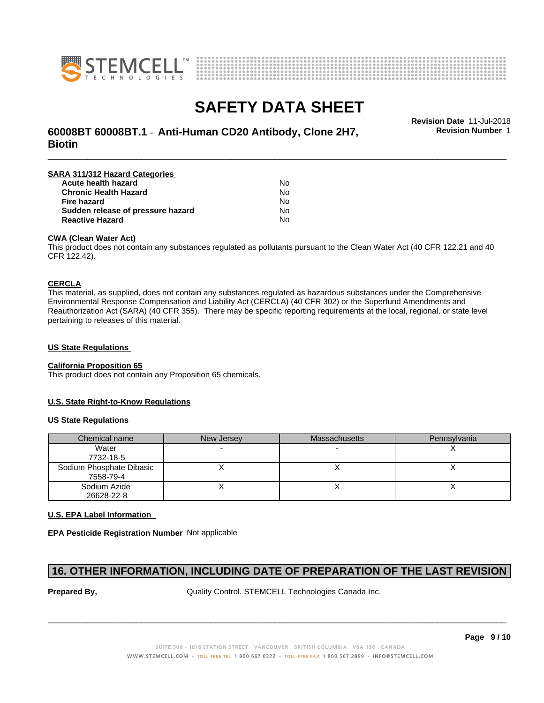



\_\_\_\_\_\_\_\_\_\_\_\_\_\_\_\_\_\_\_\_\_\_\_\_\_\_\_\_\_\_\_\_\_\_\_\_\_\_\_\_\_\_\_\_\_\_\_\_\_\_\_\_\_\_\_\_\_\_\_\_\_\_\_\_\_\_\_\_\_\_\_\_\_\_\_\_\_\_\_\_\_\_\_\_\_\_\_\_\_\_\_\_\_ **Revision Date** 11-Jul-2018 **60008BT 60008BT.1** - **Anti-Human CD20 Antibody, Clone 2H7, Biotin**

**SARA 311/312 Hazard Categories Acute health hazard** No **Chronic Health Hazard** No **Fire hazard** No **Sudden release of pressure hazard** No **Reactive Hazard** No

### **CWA (Clean WaterAct)**

This product does not contain any substances regulated as pollutants pursuant to the Clean Water Act (40 CFR 122.21 and 40 CFR 122.42).

### **CERCLA**

This material, as supplied, does not contain any substances regulated as hazardous substances under the Comprehensive Environmental Response Compensation and Liability Act (CERCLA) (40 CFR 302) or the Superfund Amendments and Reauthorization Act (SARA) (40 CFR 355). There may be specific reporting requirements at the local, regional, or state level pertaining to releases of this material.

### **US State Regulations**

### **California Proposition 65**

This product does not contain any Proposition 65 chemicals.

## **U.S. State Right-to-Know Regulations**

### **US State Regulations**

| Chemical name                         | New Jersey | <b>Massachusetts</b> | Pennsylvania |
|---------------------------------------|------------|----------------------|--------------|
| Water<br>7732-18-5                    |            |                      |              |
| Sodium Phosphate Dibasic<br>7558-79-4 |            |                      |              |
| Sodium Azide<br>26628-22-8            |            |                      |              |

### **U.S. EPA Label Information**

**EPA Pesticide Registration Number** Not applicable

## **16. OTHER INFORMATION, INCLUDING DATE OF PREPARATION OF THE LAST REVISION**

**Prepared By, State Control. STEMCELL Technologies Canada Inc.** Quality Control. STEMCELL Technologies Canada Inc.

 $\overline{\phantom{a}}$  ,  $\overline{\phantom{a}}$  ,  $\overline{\phantom{a}}$  ,  $\overline{\phantom{a}}$  ,  $\overline{\phantom{a}}$  ,  $\overline{\phantom{a}}$  ,  $\overline{\phantom{a}}$  ,  $\overline{\phantom{a}}$  ,  $\overline{\phantom{a}}$  ,  $\overline{\phantom{a}}$  ,  $\overline{\phantom{a}}$  ,  $\overline{\phantom{a}}$  ,  $\overline{\phantom{a}}$  ,  $\overline{\phantom{a}}$  ,  $\overline{\phantom{a}}$  ,  $\overline{\phantom{a}}$